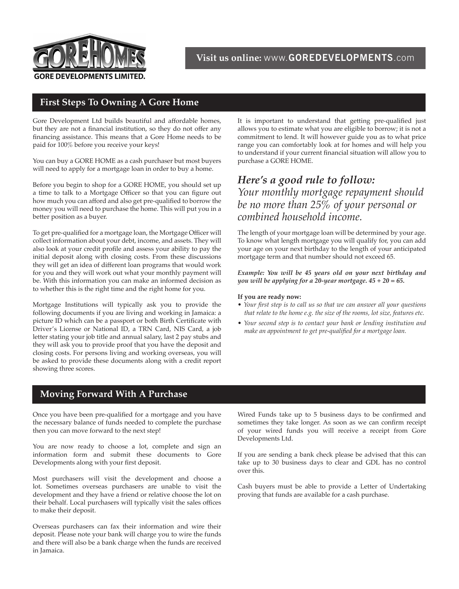

# **First Steps To Owning A Gore Home**

Gore Development Ltd builds beautiful and affordable homes, but they are not a financial institution, so they do not offer any financing assistance. This means that a Gore Home needs to be paid for 100% before you receive your keys!

You can buy a GORE HOME as a cash purchaser but most buyers will need to apply for a mortgage loan in order to buy a home.

Before you begin to shop for a GORE HOME, you should set up a time to talk to a Mortgage Officer so that you can figure out how much you can afford and also get pre-qualified to borrow the money you will need to purchase the home. This will put you in a better position as a buyer.

To get pre-qualified for a mortgage loan, the Mortgage Officer will collect information about your debt, income, and assets. They will also look at your credit profile and assess your ability to pay the initial deposit along with closing costs. From these discussions they will get an idea of different loan programs that would work for you and they will work out what your monthly payment will be. With this information you can make an informed decision as to whether this is the right time and the right home for you.

Mortgage Institutions will typically ask you to provide the following documents if you are living and working in Jamaica: a picture ID which can be a passport or both Birth Certificate with Driver's License or National ID, a TRN Card, NIS Card, a job letter stating your job title and annual salary, last 2 pay stubs and they will ask you to provide proof that you have the deposit and closing costs. For persons living and working overseas, you will be asked to provide these documents along with a credit report showing three scores.

It is important to understand that getting pre-qualified just allows you to estimate what you are eligible to borrow; it is not a commitment to lend. It will however guide you as to what price range you can comfortably look at for homes and will help you to understand if your current financial situation will allow you to purchase a GORE HOME.

# *Here's a good rule to follow:*

*Your monthly mortgage repayment should be no more than 25% of your personal or combined household income.*

The length of your mortgage loan will be determined by your age. To know what length mortgage you will qualify for, you can add your age on your next birthday to the length of your anticipated mortgage term and that number should not exceed 65.

*Example: You will be 45 years old on your next birthday and you will be applying for a 20-year mortgage. 45 + 20 = 65.*

#### **If you are ready now:**

- *Your first step is to call us so that we can answer all your questions that relate to the home e.g. the size of the rooms, lot size, features etc.*
- *Your second step is to contact your bank or lending institution and make an appointment to get pre-qualified for a mortgage loan.*

# **Moving Forward With A Purchase**

Once you have been pre-qualified for a mortgage and you have the necessary balance of funds needed to complete the purchase then you can move forward to the next step!

You are now ready to choose a lot, complete and sign an information form and submit these documents to Gore Developments along with your first deposit.

Most purchasers will visit the development and choose a lot. Sometimes overseas purchasers are unable to visit the development and they have a friend or relative choose the lot on their behalf. Local purchasers will typically visit the sales offices to make their deposit.

Overseas purchasers can fax their information and wire their deposit. Please note your bank will charge you to wire the funds and there will also be a bank charge when the funds are received in Jamaica.

Wired Funds take up to 5 business days to be confirmed and sometimes they take longer. As soon as we can confirm receipt of your wired funds you will receive a receipt from Gore Developments Ltd.

If you are sending a bank check please be advised that this can take up to 30 business days to clear and GDL has no control over this.

Cash buyers must be able to provide a Letter of Undertaking proving that funds are available for a cash purchase.